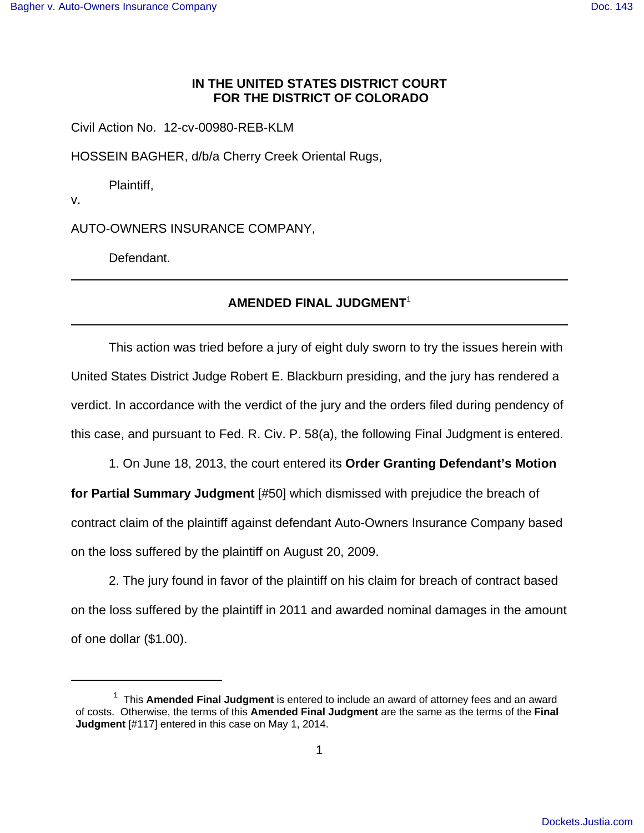## **IN THE UNITED STATES DISTRICT COURT FOR THE DISTRICT OF COLORADO**

Civil Action No. 12-cv-00980-REB-KLM

HOSSEIN BAGHER, d/b/a Cherry Creek Oriental Rugs,

Plaintiff,

v.

AUTO-OWNERS INSURANCE COMPANY,

Defendant.

## **AMENDED FINAL JUDGMENT**<sup>1</sup>

This action was tried before a jury of eight duly sworn to try the issues herein with United States District Judge Robert E. Blackburn presiding, and the jury has rendered a verdict. In accordance with the verdict of the jury and the orders filed during pendency of this case, and pursuant to Fed. R. Civ. P. 58(a), the following Final Judgment is entered.

1. On June 18, 2013, the court entered its **Order Granting Defendant's Motion for Partial Summary Judgment** [#50] which dismissed with prejudice the breach of contract claim of the plaintiff against defendant Auto-Owners Insurance Company based on the loss suffered by the plaintiff on August 20, 2009.

2. The jury found in favor of the plaintiff on his claim for breach of contract based on the loss suffered by the plaintiff in 2011 and awarded nominal damages in the amount of one dollar (\$1.00).

<sup>&</sup>lt;sup>1</sup> This **Amended Final Judgment** is entered to include an award of attorney fees and an award of costs. Otherwise, the terms of this **Amended Final Judgment** are the same as the terms of the **Final Judgment** [#117] entered in this case on May 1, 2014.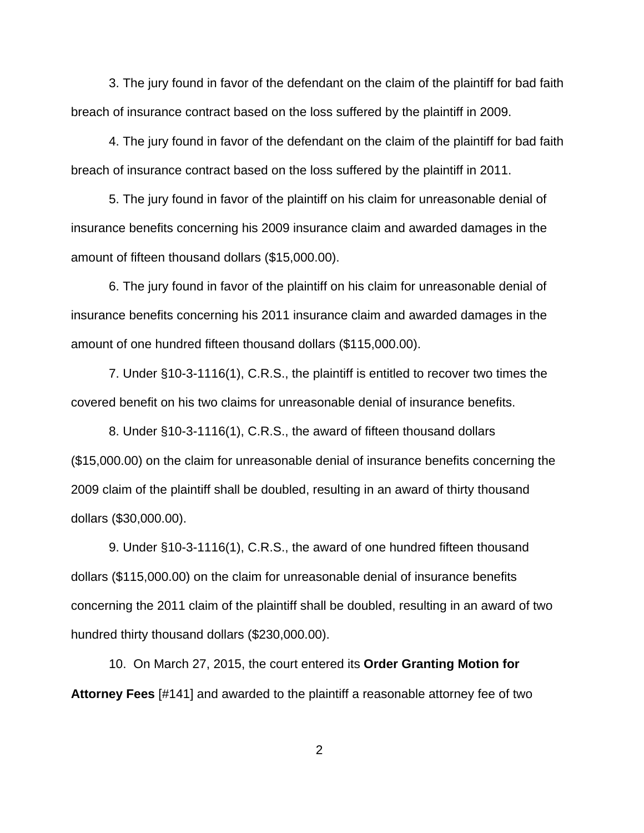3. The jury found in favor of the defendant on the claim of the plaintiff for bad faith breach of insurance contract based on the loss suffered by the plaintiff in 2009.

4. The jury found in favor of the defendant on the claim of the plaintiff for bad faith breach of insurance contract based on the loss suffered by the plaintiff in 2011.

5. The jury found in favor of the plaintiff on his claim for unreasonable denial of insurance benefits concerning his 2009 insurance claim and awarded damages in the amount of fifteen thousand dollars (\$15,000.00).

6. The jury found in favor of the plaintiff on his claim for unreasonable denial of insurance benefits concerning his 2011 insurance claim and awarded damages in the amount of one hundred fifteen thousand dollars (\$115,000.00).

7. Under §10-3-1116(1), C.R.S., the plaintiff is entitled to recover two times the covered benefit on his two claims for unreasonable denial of insurance benefits.

8. Under §10-3-1116(1), C.R.S., the award of fifteen thousand dollars (\$15,000.00) on the claim for unreasonable denial of insurance benefits concerning the 2009 claim of the plaintiff shall be doubled, resulting in an award of thirty thousand dollars (\$30,000.00).

9. Under §10-3-1116(1), C.R.S., the award of one hundred fifteen thousand dollars (\$115,000.00) on the claim for unreasonable denial of insurance benefits concerning the 2011 claim of the plaintiff shall be doubled, resulting in an award of two hundred thirty thousand dollars (\$230,000.00).

10. On March 27, 2015, the court entered its **Order Granting Motion for Attorney Fees** [#141] and awarded to the plaintiff a reasonable attorney fee of two

2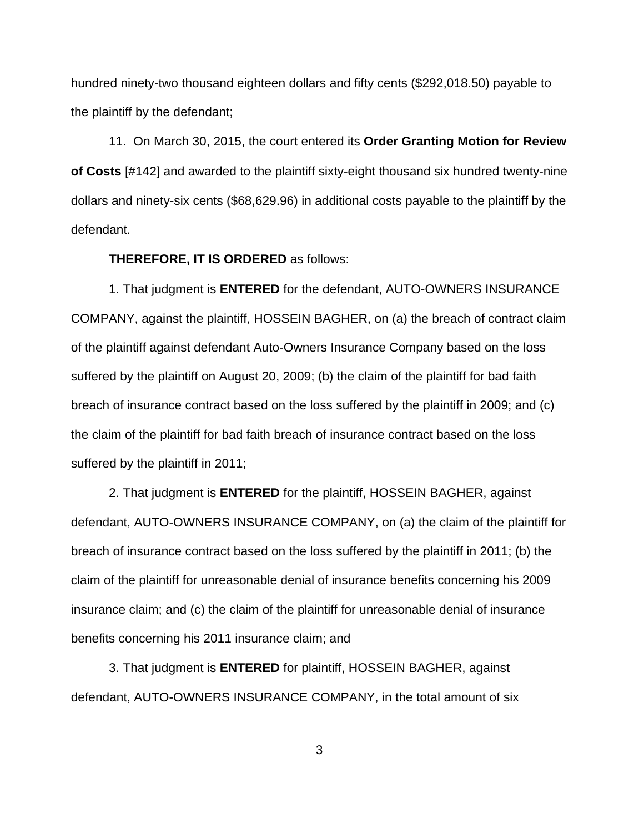hundred ninety-two thousand eighteen dollars and fifty cents (\$292,018.50) payable to the plaintiff by the defendant;

11. On March 30, 2015, the court entered its **Order Granting Motion for Review of Costs** [#142] and awarded to the plaintiff sixty-eight thousand six hundred twenty-nine dollars and ninety-six cents (\$68,629.96) in additional costs payable to the plaintiff by the defendant.

## **THEREFORE, IT IS ORDERED** as follows:

1. That judgment is **ENTERED** for the defendant, AUTO-OWNERS INSURANCE COMPANY, against the plaintiff, HOSSEIN BAGHER, on (a) the breach of contract claim of the plaintiff against defendant Auto-Owners Insurance Company based on the loss suffered by the plaintiff on August 20, 2009; (b) the claim of the plaintiff for bad faith breach of insurance contract based on the loss suffered by the plaintiff in 2009; and (c) the claim of the plaintiff for bad faith breach of insurance contract based on the loss suffered by the plaintiff in 2011;

2. That judgment is **ENTERED** for the plaintiff, HOSSEIN BAGHER, against defendant, AUTO-OWNERS INSURANCE COMPANY, on (a) the claim of the plaintiff for breach of insurance contract based on the loss suffered by the plaintiff in 2011; (b) the claim of the plaintiff for unreasonable denial of insurance benefits concerning his 2009 insurance claim; and (c) the claim of the plaintiff for unreasonable denial of insurance benefits concerning his 2011 insurance claim; and

3. That judgment is **ENTERED** for plaintiff, HOSSEIN BAGHER, against defendant, AUTO-OWNERS INSURANCE COMPANY, in the total amount of six

3